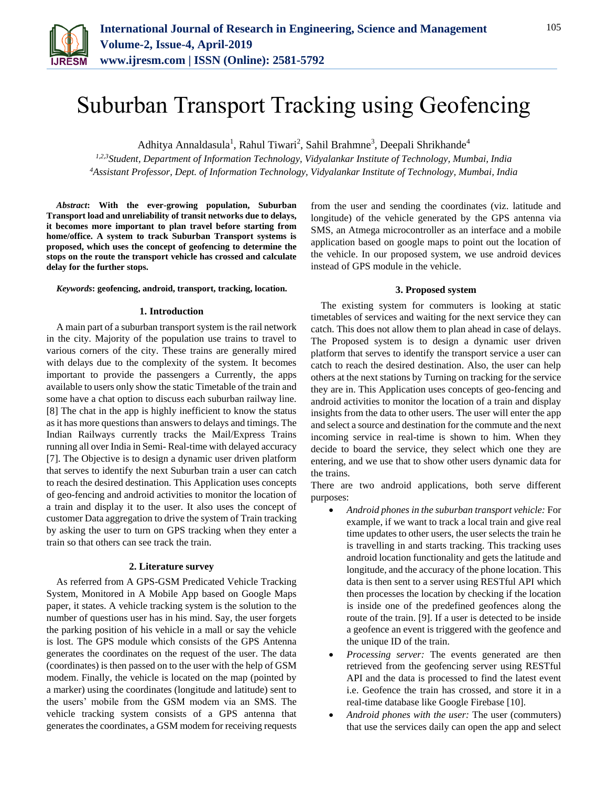

# Suburban Transport Tracking using Geofencing

Adhitya Annaldasula<sup>1</sup>, Rahul Tiwari<sup>2</sup>, Sahil Brahmne<sup>3</sup>, Deepali Shrikhande<sup>4</sup>

*1,2,3Student, Department of Information Technology, Vidyalankar Institute of Technology, Mumbai, India <sup>4</sup>Assistant Professor, Dept. of Information Technology, Vidyalankar Institute of Technology, Mumbai, India*

*Abstract***: With the ever-growing population, Suburban Transport load and unreliability of transit networks due to delays, it becomes more important to plan travel before starting from home/office. A system to track Suburban Transport systems is proposed, which uses the concept of geofencing to determine the stops on the route the transport vehicle has crossed and calculate delay for the further stops.**

*Keywords***: geofencing, android, transport, tracking, location.** 

#### **1. Introduction**

A main part of a suburban transport system is the rail network in the city. Majority of the population use trains to travel to various corners of the city. These trains are generally mired with delays due to the complexity of the system. It becomes important to provide the passengers a Currently, the apps available to users only show the static Timetable of the train and some have a chat option to discuss each suburban railway line. [8] The chat in the app is highly inefficient to know the status as it has more questions than answers to delays and timings. The Indian Railways currently tracks the Mail/Express Trains running all over India in Semi- Real-time with delayed accuracy [7]. The Objective is to design a dynamic user driven platform that serves to identify the next Suburban train a user can catch to reach the desired destination. This Application uses concepts of geo-fencing and android activities to monitor the location of a train and display it to the user. It also uses the concept of customer Data aggregation to drive the system of Train tracking by asking the user to turn on GPS tracking when they enter a train so that others can see track the train.

### **2. Literature survey**

As referred from A GPS-GSM Predicated Vehicle Tracking System, Monitored in A Mobile App based on Google Maps paper, it states. A vehicle tracking system is the solution to the number of questions user has in his mind. Say, the user forgets the parking position of his vehicle in a mall or say the vehicle is lost. The GPS module which consists of the GPS Antenna generates the coordinates on the request of the user. The data (coordinates) is then passed on to the user with the help of GSM modem. Finally, the vehicle is located on the map (pointed by a marker) using the coordinates (longitude and latitude) sent to the users' mobile from the GSM modem via an SMS. The vehicle tracking system consists of a GPS antenna that generates the coordinates, a GSM modem for receiving requests

from the user and sending the coordinates (viz. latitude and longitude) of the vehicle generated by the GPS antenna via SMS, an Atmega microcontroller as an interface and a mobile application based on google maps to point out the location of the vehicle. In our proposed system, we use android devices instead of GPS module in the vehicle.

#### **3. Proposed system**

The existing system for commuters is looking at static timetables of services and waiting for the next service they can catch. This does not allow them to plan ahead in case of delays. The Proposed system is to design a dynamic user driven platform that serves to identify the transport service a user can catch to reach the desired destination. Also, the user can help others at the next stations by Turning on tracking for the service they are in. This Application uses concepts of geo-fencing and android activities to monitor the location of a train and display insights from the data to other users. The user will enter the app and select a source and destination for the commute and the next incoming service in real-time is shown to him. When they decide to board the service, they select which one they are entering, and we use that to show other users dynamic data for the trains.

There are two android applications, both serve different purposes:

- *Android phones in the suburban transport vehicle:* For example, if we want to track a local train and give real time updates to other users, the user selects the train he is travelling in and starts tracking. This tracking uses android location functionality and gets the latitude and longitude, and the accuracy of the phone location. This data is then sent to a server using RESTful API which then processes the location by checking if the location is inside one of the predefined geofences along the route of the train. [9]. If a user is detected to be inside a geofence an event is triggered with the geofence and the unique ID of the train.
- *Processing server:* The events generated are then retrieved from the geofencing server using RESTful API and the data is processed to find the latest event i.e. Geofence the train has crossed, and store it in a real-time database like Google Firebase [10].
- *Android phones with the user:* The user (commuters) that use the services daily can open the app and select